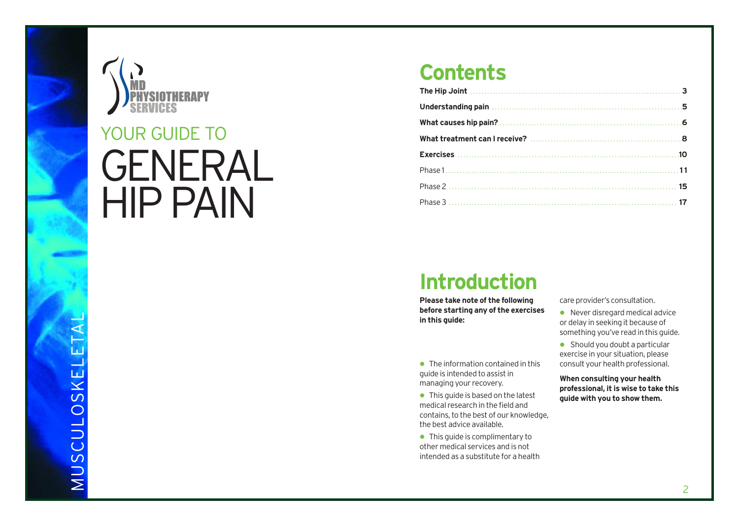

# GENERAL YOUR GUIDE TO<br>GENERAI<br>HIP PAIN

### **Contents**

| Understanding pain manufactured and all the state of the Understanding pain |  |
|-----------------------------------------------------------------------------|--|
|                                                                             |  |
|                                                                             |  |
|                                                                             |  |
|                                                                             |  |
|                                                                             |  |
|                                                                             |  |

### **Introduction**

**Please take note of the following before starting any of the exercises in this guide:**

• The information contained in this guide is intended to assist in managing your recovery.

- This quide is based on the latest medical research in the field and contains, to the best of our knowledge, the be s t advice available.
- This quide is complimentary to other medical services and is not intended as a substitute for a health

care provider's consultation.

- Never disregard medical advice or delay in seeking it because of something you've read in this guide.
- Should you doubt a particular exercise in your situation, please consult your health professional.

**When consulting your health professional, it is wise to take this guide with you t o sho w them.**

MUSCULOSKELETAL $\overline{\phantom{0}}$ MUSCULOSKELE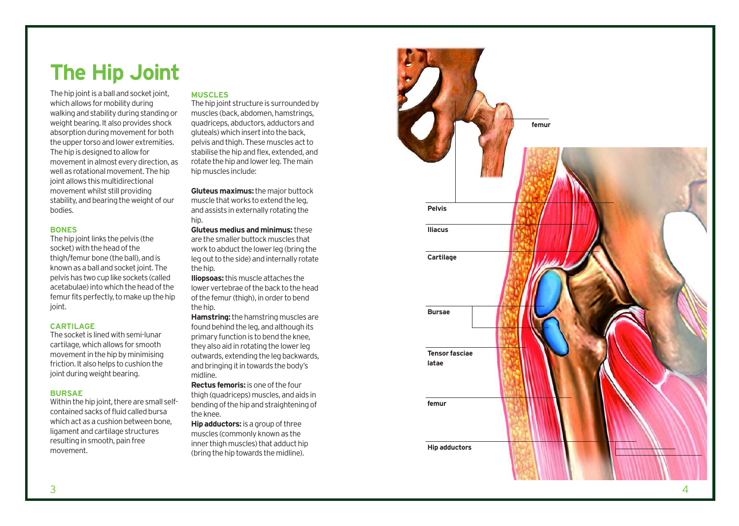### **The Hip Joint**

The hip joint is a ball and socket joint, which allows for mobility during walking and stability during standing or weight bearing. It also provides shock absorption during movement for both the upper torso and lower extremities. The hip is designed to allow for movement in almost every direction, as well as rotational movement. The hip joint allows this multidirectional movement whilst still providing stability, and bearing the weight of our bodies.

### **BONES**

The hip joint links the pelvis (the socket) with the head of the thigh/femur bone (the ball), and is known as a ball and socket joint. The pelvis has two cup like sockets (called ac etabulae) into which the head of the femur fits perfectly, to make up the hip join t.

### **CARTILAGE**

The socket is lined with semi-lunar cartilage, which allows for smooth mo vement in the hip by minimising friction. It also helps to cushion the joint during weight bearing.

### **BURSAE**

Within the hip join t, there are small selfcontained sacks of fluid called bursa which act as a cushion between bone, ligament and cartilage structures resulting in smooth, pain free mo vement.

### **MUSCLES**

The hip joint structure is surrounded by muscles (back, abdomen, hamstrings, quadriceps, abductors, adductors and gluteals) which insert into the back, pelvis and thigh. These muscles act to stabilise the hip and flex, extended, and rotate the hip and lower leg. The main hip muscles include:

**Gluteus maximus:**the major buttock muscle that works to extend the leg, and assists in externally rotating the hip.

**Gluteus medius and minimus:** the s e are the smaller buttock muscles that work to abduct the lower leg (bring the leg out to the side) and internally rotate the hip.

**Iliopsoas:**this muscle attaches the lower vertebrae of the back to the head of the femur (thigh), in order to bend the hip.

**Hamstring:** the hamstring muscles are found behind the leg, and although its primary function is to bend the knee, they also aid in r otating the lower leg outwards, extending the leg backwards, and bringing it in t o wards the body' s midline.

**Rectus femoris:** is one of the four thigh (quadricep s) muscle s, and aids in bending of the hip and straightening of the knee.

**Hip adductors:** is a group of three muscles (commonly known as the inner thigh muscles) that adduct hip (bring the hip t o wards the midline).

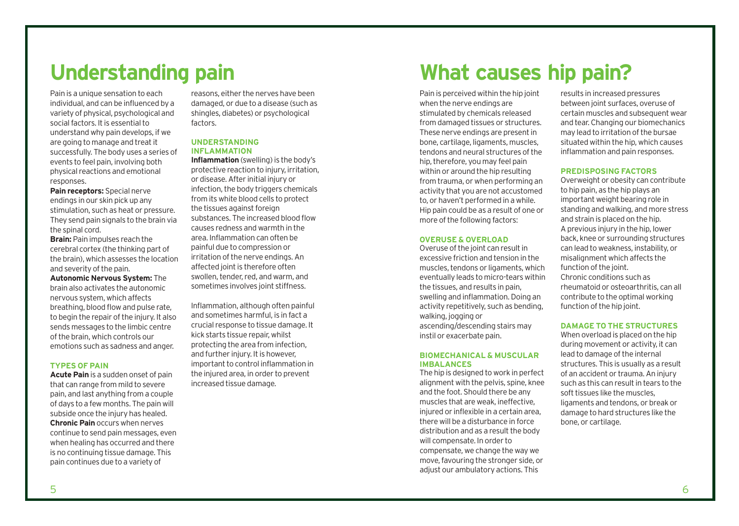Pain is a unique sensation to each individual, and can be influenced by a variety of physical, psychological and social factors. It is essential to understand why pain develops, if we are going to manage and treat it successfully. The body uses a series of events to feel pain, involving both physical reactions and emotional responses.

**Pain receptors:** Special nerve endings in our skin pick up any stimulation, such as heat or pressure. They send pain signals to the brain via the spinal cord.

**Brain: Pain impulses reach the** cerebral cortex (the thinking part of the brain), which assesses the location and severity of the pain.

**Autonomic Nervous System:** The brain also activates the autonomic nervous system, which affects breathing, blood flow and pulse rate, to begin the repair of the injury. It also sends messages to the limbic centre of the brain, which controls our emotions such as sadness and anger.

#### **TYPES OF PAIN**

**Acute Pain** is a sudden onset of pain that can range from mild to severe pain, and last anything from a couple of days to a few months. The pain will subside once the injury has healed. **Chronic Pain** occurs when nerves continue to send pain messages, even when healing has occurred and there is no continuing tissue damage. This pain continues due to a variety of

reasons, either the nerves have been damaged, or due to a disease (such as shingles, diabetes) or psychological factors.

### **UNDERSTANDING INFLAMMATION**

**Inflammation** (swelling) is the body's protective reaction to injury, irritation, or disease. After initial injury or infection, the body triggers chemicals from its white blood cells to protect the tissues against foreign substances. The increased blood flow causes redness and warmth in the area. Inflammation can often be painful due to compression or irritation of the nerve endings. An affected joint is therefore often swollen, tender, red, and warm, and sometimes involves joint stiffness.

Inflammation, although often painful and sometimes harmful, is in fact a crucial response to tissue damage. It kick starts tissue repair, whilst protecting the area from infection, and further injury. It is however, important to control inflammation in the injured area, in order to prevent increased tissue damage.

### **Understanding pain What causes hip pain?**

Pain is perceived within the hip joint when the nerve endings are stimulated by chemicals released from damaged tissues or structures. These nerve endings are present in bone, cartilage, ligaments, muscles, tendons and neural structures of the hip, therefore, you may feel pain within or around the hip resulting from trauma, or when performing an activity that you are not accustomed to, or haven't performed in a while. Hip pain could be as a result of one or more of the following factors:

### **OVERUSE & OVERLOAD**

Overuse of the joint can result in excessive friction and tension in the muscles, tendons or ligaments, which eventually leads to micro-tears within the tissues, and results in pain, swelling and inflammation. Doing an activity repetitively, such as bending, walking, jogging or ascending/descending stairs may instil or exacerbate pain.

### **BIOMECHANICAL & MUSCULAR IMBALANCES**

The hip is designed to work in perfect alignment with the pelvis, spine, knee and the foot. Should there be any muscles that are weak, ineffective, injured or inflexible in a certain area. there will be a disturbance in force distribution and as a result the body will compensate. In order to compensate, we change the way we move, favouring the stronger side, or adjust our ambulatory actions. This

results in increased pressures between joint surfaces, overuse of certain muscles and subsequent wear and tear. Changing our biomechanics may lead to irritation of the bursae situated within the hip, which causes inflammation and pain responses.

### **PREDISPOSING FACTORS**

Overweight or obesity can contribute to hip pain, as the hip plays an important weight bearing role in standing and walking, and more stress and strain is placed on the hip. A previous injury in the hip, lower back, knee or surrounding structures can lead to weakness, instability, or misalignment which affects the function of the joint. Chronic conditions such as rheumatoid or osteoarthritis, can all contribute to the optimal working function of the hip joint.

### **DAMAGE TO THE STRUCTURES**

When overload is placed on the hip during movement or activity, it can lead to damage of the internal structures. This is usually as a result of an accident or trauma. An injury such as this can result in tears to the soft tissues like the muscles, ligaments and tendons, or break or damage to hard structures like the bone, or cartilage.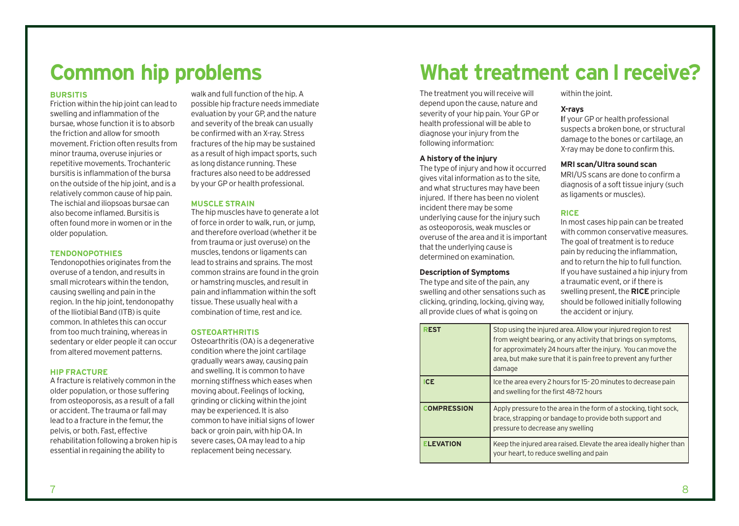### **Common hip problems**

### **BURSITIS**

Friction within the hip joint can lead to swelling and inflammation of the bursae, whose function it is to absorb the friction and allow for smooth movement. Friction often results from minor trauma, overuse injuries or repetitive movements. Trochanteric bursitis is inflammation of the bursa on the outside of the hip joint, and is a relatively common cause of hip pain. The ischial and iliopsoas bursae can also become inflamed. Bursitis is often found more in women or in the older population.

#### **TENDONOPOTHIES**

Tendonopothies originates from the overuse of a tendon, and results in small microtears within the tendon, causing swelling and pain in the region. In the hip joint, tendonopathy of the Iliotibial Band (ITB) is quite common. In athletes this can occur from too much training, whereas in sedentary or elder people it can occur from altered movement patterns.

### **HIP FRACTURE**

A fracture is relatively common in the older population, or those suffering from osteoporosis, as a result of a fall or accident. The trauma or fall may lead to a fracture in the femur, the pelvis, or both. Fast, effective rehabilitation following a broken hip is essential in regaining the ability to

walk and full function of the hip. A possible hip fracture needs immediate evaluation by your GP, and the nature and severity of the break can usually be confirmed with an X-ray. Stress fractures of the hip may be sustained as a result of high impact sports, such as long distance running. These fractures also need to be addressed by your GP or health professional.

### **MUSCLE STRAIN**

The hip muscles have to generate a lot of force in order to walk, run, or jump, and therefore overload (whether it be from trauma or just overuse) on the muscles, tendons or ligaments can lead to strains and sprains. The most common strains are found in the groin or hamstring muscles, and result in pain and inflammation within the soft tissue. These usually heal with a combination of time, rest and ice.

#### **OSTEOARTHRITIS**

Osteoarthritis (OA) is a degenerative condition where the joint cartilage gradually wears away, causing pain and swelling. It is common to have morning stiffness which eases when moving about. Feelings of locking, grinding or clicking within the joint may be experienced. It is also common to have initial signs of lower back or groin pain, with hip OA. In severe cases, OA may lead to a hip replacement being necessary.

### **What treatment can I receive?**

The treatment you will receive will depend upon the cause, nature and severity of your hip pain. Your GP or health professional will be able to diagnose your injury from the following information:

### **A history of the injury**

The type of injury and how it occurred gives vital information as to the site, and what structures may have been injured. If there has been no violent incident there may be some underlying cause for the injury such as osteoporosis, weak muscles or overuse of the area and it is important that the underlying cause is determined on examination.

### **Description of Symptoms**

The type and site of the pain, any swelling and other sensations such as clicking, grinding, locking, giving way, all provide clues of what is going on

within the joint.

### **X-rays**

**I**f your GP or health professional suspects a broken bone, or structural damage to the bones or cartilage, an X-ray may be done to confirm this.

### **MRI scan/Ultra sound scan**

MRI/US scans are done to confirm a diagnosis of a soft tissue injury (such as ligaments or muscles).

### **RICE**

In most cases hip pain can be treated with common conservative measures. The goal of treatment is to reduce pain by reducing the inflammation, and to return the hip to full function. If you have sustained a hip injury from a traumatic event, or if there is swelling present, the **RICE** principle should be followed initially following the accident or injury.

| <b>REST</b>        | Stop using the injured area. Allow your injured region to rest<br>from weight bearing, or any activity that brings on symptoms,<br>for approximately 24 hours after the injury. You can move the<br>area, but make sure that it is pain free to prevent any further<br>damage |
|--------------------|-------------------------------------------------------------------------------------------------------------------------------------------------------------------------------------------------------------------------------------------------------------------------------|
| <b>ICE</b>         | Ice the area every 2 hours for 15-20 minutes to decrease pain<br>and swelling for the first 48-72 hours                                                                                                                                                                       |
| <b>COMPRESSION</b> | Apply pressure to the area in the form of a stocking, tight sock,<br>brace, strapping or bandage to provide both support and<br>pressure to decrease any swelling                                                                                                             |
| <b>ELEVATION</b>   | Keep the injured area raised. Elevate the area ideally higher than<br>your heart, to reduce swelling and pain                                                                                                                                                                 |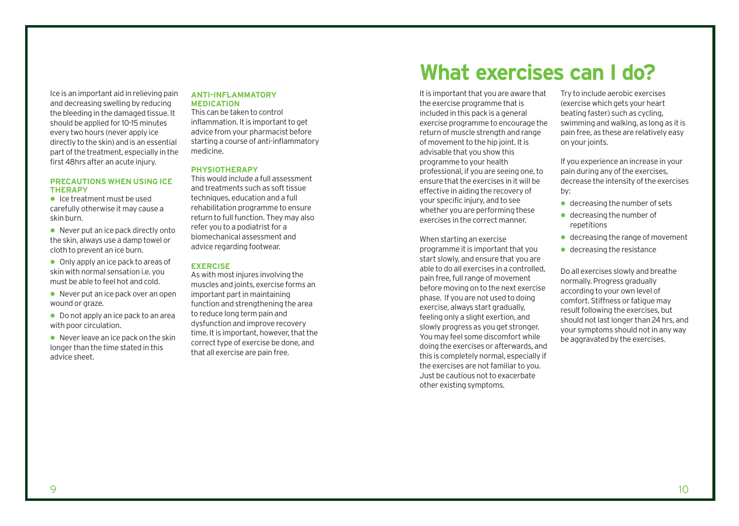Ice is an important aid in relieving pain and decreasing swelling by reducing the bleeding in the damaged tissue. It should be applied for 10-15 minutes every two hours (never apply ice directly to the skin) and is an essential part of the treatment, especially in the first 48hrs after an acute injury.

### **PRECAUTIONS WHEN USING ICE THERAPY**

 Ice treatment must be used carefully otherwise it may cause a skin burn.

● Never put an ice pack directly onto the skin, always use a damp towel or cloth to prevent an ice burn.

- Only apply an ice pack to areas of skin with normal sensation i.e. you must be able to feel hot and cold.
- Never put an ice pack over an open wound or graze.
- Do not apply an ice pack to an area with poor circulation.
- $\bullet$  Never leave an ice pack on the skin longer than the time stated in this advice sheet.

### **ANTI-INFLAMMATORY MEDICATION**

This can be taken to control inflammation. It is important to get advice from your pharmacist before starting a course of anti-inflammatory medicine.

### **PHYSIOTHERAPY**

This would include a full assessment and treatments such as soft tissue techniques, education and a full rehabilitation programme to ensure return to full function. They may also refer you to a podiatrist for a biomechanical assessment and advice regarding footwear.

### **EXERCISE**

As with most injures involving the muscles and joints, exercise forms an important part in maintaining function and strengthening the area to reduce long term pain and dysfunction and improve recovery time. It is important, however, that the correct type of exercise be done, and that all exercise are pain free.

### **What exercises can I do?**

It is important that you are aware that the exercise programme that is included in this pack is a general exercise programme to encourage the return of muscle strength and range of movement to the hip joint. It is advisable that you show this programme to your health professional, if you are seeing one, to ensure that the exercises in it will be effective in aiding the recovery of your specific injury, and to see whether you are performing these exercises in the correct manner.

When starting an exercise programme it is important that you start slowly, and ensure that you are able to do all exercises in a controlled, pain free, full range of movement before moving on to the next exercise phase. If you are not used to doing exercise, always start gradually, feeling only a slight exertion, and slowly progress as you get stronger. You may feel some discomfort while doing the exercises or afterwards, and this is completely normal, especially if the exercises are not familiar to you. Just be cautious not to exacerbate other existing symptoms.

Try to include aerobic exercises (exercise which gets your heart beating faster) such as cycling, swimming and walking, as long as it is pain free, as these are relatively easy on your joints.

If you experience an increase in your pain during any of the exercises, decrease the intensity of the exercises by:

- decreasing the number of sets
- decreasing the number of repetitions
- decreasing the range of movement
- decreasing the resistance

Do all exercises slowly and breathe normally. Progress gradually according to your own level of comfort. Stiffness or fatigue may result following the exercises, but should not last longer than 24 hrs, and your symptoms should not in any way be aggravated by the exercises.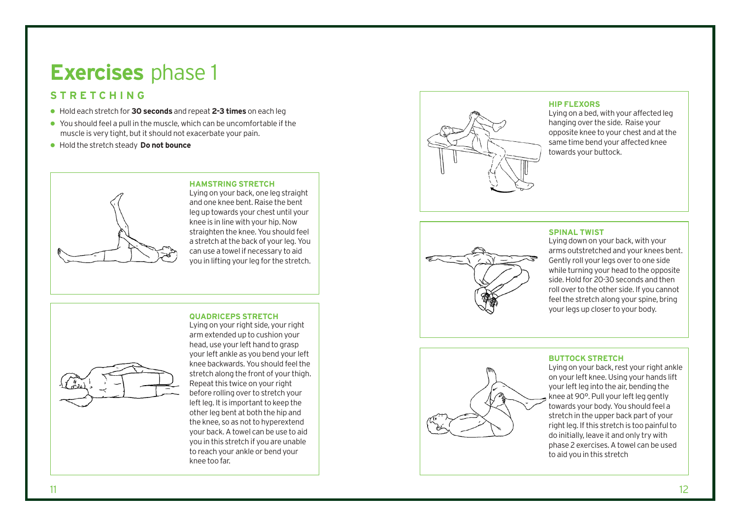### **Exercises** phase 1

### **STRETCHING**

- Hold each stretch for **30 seconds** and repeat **2-3 times** on each leg
- You should feel a pull in the muscle, which can be uncomfortable if the muscle is very tight, but it should not exacerbate your pain.
- Hold the stretch steady **Do not bounce**



### **HAMSTRING STRETCH**

Lying on your back, one leg straight and one knee bent. Raise the bent leg up towards your chest until your knee is in line with your hip. Now straighten the knee. You should feel a stretch at the back of your leg. You can use a towel if necessary to aid you in lifting your leg for the stretch.

### **QUADRICEPS STRETCH** Lying on your right side, your right



arm extended up to cushion your head, use your left hand to grasp your left ankle as you bend your left knee backwards. You should feel the stretch along the front of your thigh. Repeat this twice on your right before rolling over to stretch your left leg. It is important to keep the other leg bent at both the hip and the knee, so as not to hyperextend your back. A towel can be use to aid you in this stretch if you are unable to reach your ankle or bend your knee too far.



### **HIP FLEXORS**

Lying on a bed, with your affected leg hanging over the side. Raise your opposite knee to your chest and at the same time bend your affected knee towards your buttock.

### **SPINAL TWIST**



Lying down on your back, with your arms outstretched and your knees bent. Gently roll your legs over to one side while turning your head to the opposite side. Hold for 20-30 seconds and then roll over to the other side. If you cannot feel the stretch along your spine, bring your legs up closer to your body.



### **BUTTOCK STRETCH**

Lying on your back, rest your right ankle on your left knee. Using your hands lift your left leg into the air, bending the knee at 90°. Pull your left leg gently towards your body. You should feel a stretch in the upper back part of your right leg. If this stretch is too painful to do initially, le ave it and only try with phase 2 exercises. A towel can be used to aid you in this stretch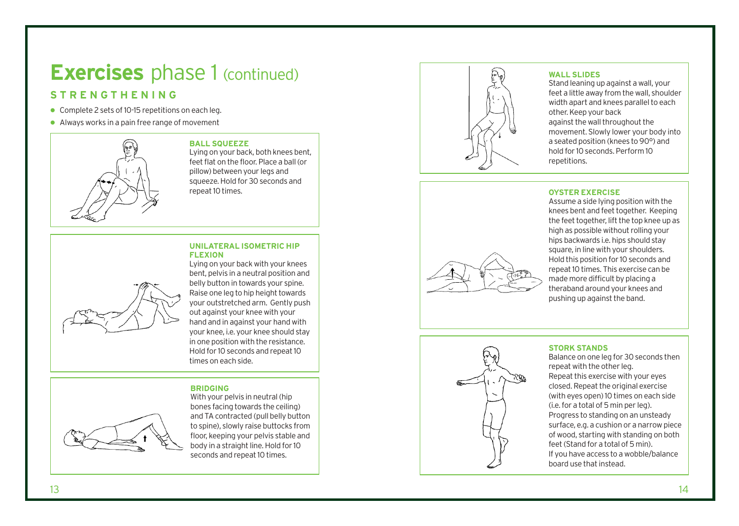### **Exercises** phase 1 (continued)

### **STRENGTHENING**

- Complete 2 sets of 10-15 repetitions on each leg.
- Always works in a pain free range of movement



### **BALL SQUEEZE**

Lying on your back, both knees bent, feet flat on the floor. Place a ball (or pillow) between your legs and squeeze. Hold for 30 seconds and repeat 10 times.

### **UNILATERAL ISOMETRIC HIP FLEXION**



Lying on your back with your knees bent, pelvis in a neutral position and belly button in towards your spine. Raise one leg to hip height towards your outstretched arm. Gently push out against your knee with your hand and in against your hand with your knee, i.e. your knee should stay in one position with the r esistance. Hold for 10 seconds and repeat 10 times on each side.

### **BRIDGING**



With your pelvis in neutral (hip bones facing towards the ceiling) and TA contracted (pull belly button to spine), slowly raise buttocks from floor, keeping your pelvis stable and body in a straight line. Hold for 10 seconds and repeat 10 times.



### **WALL SLIDES**

Stand leaning up against a wall, your feet a little away from the wall, shoulder width apart and knees parallel to each other. Keep your back against the wall throughout the movement. Slowly lower your body into a seated position (knees to 90°) and hold for 10 seconds. Perform 10 repetitions.

### **OYSTER EXERCISE**

Assume a side lying position with the knees bent and feet together. Keeping the feet together, lift the top knee up as high as possible without rolling your hips back wards i.e. hips should stay square, in line with your shoulders. Hold this position for 10 seconds and repeat 10 times. This exercise can be made more difficult by placing a theraband around your knees and pushing up against the band.



### **STORK STANDS**

Balance on one leg for 30 seconds then repeat with the other leg. Repeat this exercise with your eyes closed. Repeat the original exercise (with eyes open) 10 times on each side (i. e. for a total of 5 min per leg). Progress to standing on an unsteady surface, e.g. a cushion or a narrow piece of wood, starting with standing on both feet (Stand for a total of 5 min). If you have access to a wobble/balance board use that instead.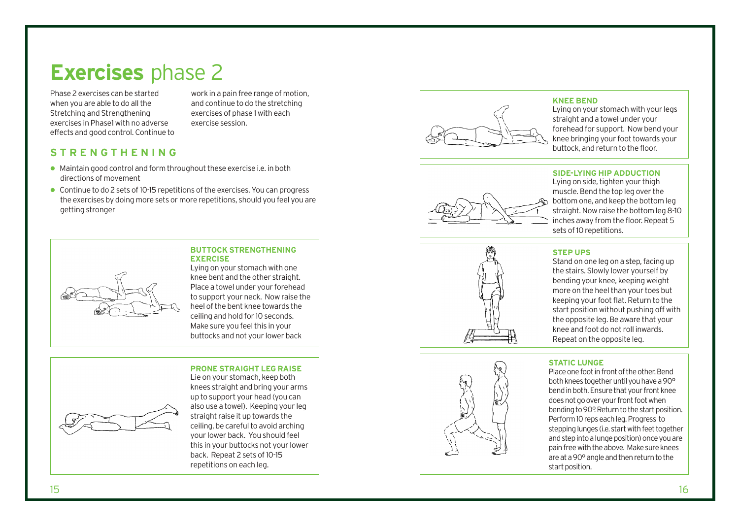### **Exercises** phase 2

Phase 2 exercises can be started when you are able to do all the Stretching and Strengthening exercises in Phase1 with no adverse effects and good control. Continue to

work in a pain free range of motion, and continue to do the stretching exercises of phase 1 with each exercise session.

### **STRENGTHENING**

- Maintain good control and form throughout these exercise i.e. in both directions of movement
- Continue to do 2 sets of 10-15 repetitions of the exercises. You can progress the exercises by doing more sets or more repetitions, should you feel you are getting stronger



#### **BUTTOCK STRENGTHENING EXERCISE**

Lying on your stomach with one knee bent and the other straight. Place a towel under your forehead to support your neck. Now raise the heel of the bent knee t owards the ceiling and hold for 10 seconds. Make sure you feel this in your buttocks and not your lower back

### **PRONE STRAIGHT LEG RAISE**



Lie on your stomach, keep both knees straight and bring your arms up to support your head (you can also use a t o wel). Keeping your leg straight raise it up towards the ceiling, be careful to avoid arching your lower back. You should feel this in your but tocks not your lower back. Repeat 2 sets of 10-15 repetitions on each leg.



### **KNEE BEND**

Lying on your stomach with your legs straight and a towel under your forehead for support. Now bend your knee bringing your foot towards your buttock, and return to the floor.



**SIDE-LYING HIP ADDUCTION** Lying on side, tighten your thigh muscle. Bend the top leg over the bottom one, and keep the bottom leg straight. Now raise the bottom leg 8-10 inches away from the floor. Repeat 5 sets of 10 repetitions.





### **STEP UPS**

Stand on one leg on a step, facing up the stairs. Slowly lower yourself by bending your knee, keeping weight more on the heel than your toes but keeping your foot flat. Return to the start position without pushing off with the opposite leg. Be aware that your knee and foot do not roll inwards. Repeat on the opposite leg.

### **S TATIC LUNGE**

Place one foot in front of the other. Bend both knees together until you have a 90° bend in both. Ensure that your front knee does not go over your front foot when bending to 90°. Return to the start position. Perform 10 reps each leg. Progress to stepping lunges (i.e. start with feet together and step into a lunge position) once you are pain free with the above. Make sure knees are at a 90° angle and then return to the start position.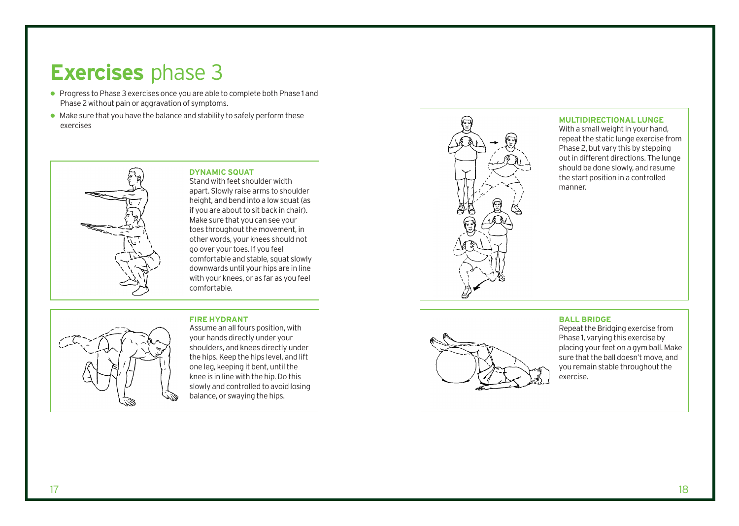### **Exercises** phase 3

- **Progress to Phase 3 exercises once you are able to complete both Phase 1 and** Phase 2 without pain or aggravation of symptoms.
- $\bullet$  Make sure that you have the balance and stability to safely perform these exercises



**DYNAMIC SQUAT** Stand with feet shoulder width

apart. Slowly raise arms to shoulder height, and bend into a low squat (as if you are about to sit back in chair). Make sure that you can see your toes throughout the movement, in other words, your knees should not go over your toes. If you feel comfortable and stable, squat slowly downwards until your hips are in line with your knees, or as far as you feel comfortable.

### **FIRE HYDRANT**



Assume an all fours position, with your hands directly under your shoulders, and knees directly under the hips. Keep the hips level, and lift one leg, keeping it bent, until the knee is in line with the hip. Do this slowly and controlled to avoid losing balance, or swaying the hips.



### **MULTIDIRECTIONAL LUNGE**

With a small weight in your hand, repeat the static lunge exercise from Phase 2, but vary this by stepping out in different directions. The lunge should be done slowly, and resume the start position in a controlled manner.



### **BALL BRIDGE**

Repeat the Bridging exercise from Phase 1, varying this exercise by placing your feet on a gym ball. Make sure that the ball doesn't move, and you remain stable throughout the exercise.